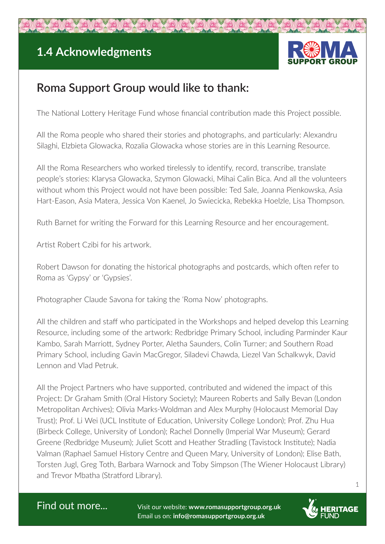## **1.4 Acknowledgments**



## **Roma Support Group would like to thank:**

The National Lottery Heritage Fund whose financial contribution made this Project possible.

All the Roma people who shared their stories and photographs, and particularly: Alexandru Silaghi, Elzbieta Glowacka, Rozalia Glowacka whose stories are in this Learning Resource.

All the Roma Researchers who worked tirelessly to identify, record, transcribe, translate people's stories: Klarysa Glowacka, Szymon Glowacki, Mihai Calin Bica. And all the volunteers without whom this Project would not have been possible: Ted Sale, Joanna Pienkowska, Asia Hart-Eason, Asia Matera, Jessica Von Kaenel, Jo Swiecicka, Rebekka Hoelzle, Lisa Thompson.

Ruth Barnet for writing the Forward for this Learning Resource and her encouragement.

Artist Robert Czibi for his artwork.

Robert Dawson for donating the historical photographs and postcards, which often refer to Roma as 'Gypsy' or 'Gypsies'.

Photographer Claude Savona for taking the 'Roma Now' photographs.

All the children and staff who participated in the Workshops and helped develop this Learning Resource, including some of the artwork: Redbridge Primary School, including Parminder Kaur Kambo, Sarah Marriott, Sydney Porter, Aletha Saunders, Colin Turner; and Southern Road Primary School, including Gavin MacGregor, Siladevi Chawda, Liezel Van Schalkwyk, David Lennon and Vlad Petruk.

All the Project Partners who have supported, contributed and widened the impact of this Project: Dr Graham Smith (Oral History Society); Maureen Roberts and Sally Bevan (London Metropolitan Archives); Olivia Marks-Woldman and Alex Murphy (Holocaust Memorial Day Trust); Prof. Li Wei (UCL Institute of Education, University College London); Prof. Zhu Hua (Birbeck College, University of London); Rachel Donnelly (Imperial War Museum); Gerard Greene (Redbridge Museum); Juliet Scott and Heather Stradling (Tavistock Institute); Nadia Valman (Raphael Samuel History Centre and Queen Mary, University of London); Elise Bath, Torsten Jugl, Greg Toth, Barbara Warnock and Toby Simpson (The Wiener Holocaust Library) and Trevor Mbatha (Stratford Library).



Find out more... Visit our website: **www.romasupportgroup.org.uk** Email us on: **info@romasupportgroup.org.uk**